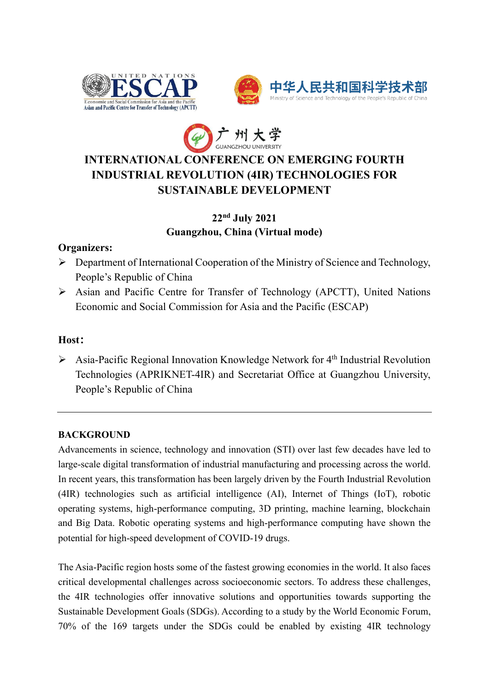





# **INTERNATIONAL CONFERENCE ON EMERGING FOURTH INDUSTRIAL REVOLUTION (4IR) TECHNOLOGIES FOR SUSTAINABLE DEVELOPMENT**

# **22nd July 2021 Guangzhou, China (Virtual mode)**

# **Organizers:**

- ➢ Department of International Cooperation of the Ministry of Science and Technology, People's Republic of China
- ➢ Asian and Pacific Centre for Transfer of Technology (APCTT), United Nations Economic and Social Commission for Asia and the Pacific (ESCAP)

# **Host:**

➢ Asia-Pacific Regional Innovation Knowledge Network for 4th Industrial Revolution Technologies (APRIKNET-4IR) and Secretariat Office at Guangzhou University, People's Republic of China

### **BACKGROUND**

Advancements in science, technology and innovation (STI) over last few decades have led to large-scale digital transformation of industrial manufacturing and processing across the world. In recent years, this transformation has been largely driven by the Fourth Industrial Revolution (4IR) technologies such as artificial intelligence (AI), Internet of Things (IoT), robotic operating systems, high-performance computing, 3D printing, machine learning, blockchain and Big Data. Robotic operating systems and high-performance computing have shown the potential for high-speed development of COVID-19 drugs.

The Asia-Pacific region hosts some of the fastest growing economies in the world. It also faces critical developmental challenges across socioeconomic sectors. To address these challenges, the 4IR technologies offer innovative solutions and opportunities towards supporting the Sustainable Development Goals (SDGs). According to a study by the World Economic Forum, 70% of the 169 targets under the SDGs could be enabled by existing 4IR technology